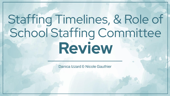# Staffing Timelines, & Role of School Staffing Committee **Review**

Danica Izzard & Nicole Gauthier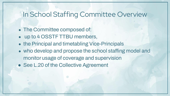# In School Staffing Committee Overview

- The Committee composed of:
- up to 4 OSSTF TTBU members,
- the Principal and timetabling Vice-Principals
- who develop and propose the school staffing model and monitor usage of coverage and supervision
- See L.20 of the Collective Agreement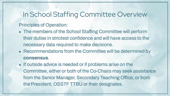## In School Staffing Committee Overview

#### Principles of Operation:

- The members of the School Staffing Committee will perform their duties in strictest confidence and will have access to the necessary data required to make decisions.
- Recommendations from the Committee will be determined by **consensus**.
- If outside advice is needed or if problems arise on the Committee, either or both of the Co-Chairs may seek assistance from the Senior Manager, Secondary Teaching Office, or from the President, OSSTF TTBU or their designates.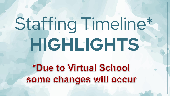# Staffing Timeline\* **HIGHLIGHTS**\*Due to Virtual School some changes will occur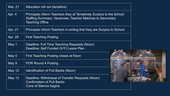| Mar. 21       | Allocation roll out (tentative)                                                                                                                                            |  |
|---------------|----------------------------------------------------------------------------------------------------------------------------------------------------------------------------|--|
| Apr. 4        | <b>Principals inform Teachers they at Tentatively Surplus to the School</b><br><b>Staffing Summary, Vacancies, Teacher Matrices to Secondary</b><br><b>Teaching Office</b> |  |
| Apr. 21       | Principals inform Teachers in writing that they are Surplus to School                                                                                                      |  |
| Apr. 29       | <b>First Teaching Posting</b>                                                                                                                                              |  |
| May 1         | Deadline: Full Time Teaching Requests (Noon)<br>Deadline: Self Funded (X/Y) Leave Plan                                                                                     |  |
| May 5         | <b>First Teaching Posting closes at Noon</b>                                                                                                                               |  |
| May 9         | POR Round 4 Posting                                                                                                                                                        |  |
| <b>May 12</b> | Identification of Pull Backs (Noon)                                                                                                                                        |  |
| <b>May 13</b> | Deadline: Withdrawal of Transfer Requests (Noon)<br><b>Confirmation of Pull Backs</b><br>Cone of Silence begins                                                            |  |

 $\theta$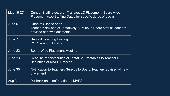| May 16-27 | Central Staffing occurs - Transfer, LC Placement, Board-wide<br>Placement (see Staffing Dates for specific dates of each)    |
|-----------|------------------------------------------------------------------------------------------------------------------------------|
| June 6    | <b>Cone of Silence ends</b><br>Teachers advised of Tentatively Surplus to Board status/Teachers<br>advised of new placements |
| June 7    | <b>Second Teaching Posting</b><br><b>POR Round 5 Posting</b>                                                                 |
| June 22   | Board-Wide Placement Meeting                                                                                                 |
| June 23   | Deadline for distribution of Tentative Timetables to Teachers<br><b>Beginning of MAPS Process</b>                            |
| June 30   | Notification to Teachers Surplus to Board/Teachers advised of new<br>placement                                               |
| Aug 31    | <b>Pullback and confirmation of MAPS</b>                                                                                     |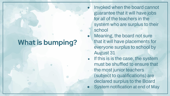# **What is bumping?**

- Invoked when the board cannot guarantee that it will have jobs for all of the teachers in the system who are surplus to their school
- Meaning, the board not sure that it will have placements for everyone surplus to school by August 31
- If this is is the case, the system must be shuffled to ensure that the most junior teachers (subject to qualifications) are declared surplus to the Board
	- System notification at end of May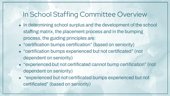# In School Staffing Committee Overview

- In determining school surplus and the development of the school staffing matrix, the placement process and in the bumping process, the guiding principles are:
- "certification bumps certification" (based on seniority)
- "certification bumps experienced but not certificated" (not dependent on seniority)
- "experienced but not certificated cannot bump certification" (not dependent on seniority)
- "experienced but not certificated bumps experienced but not certificated" (based on seniority)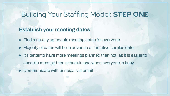# Building Your Staffing Model: **STEP ONE**

#### **Establish your meeting dates**

- Find mutually agreeable meeting dates for everyone
- Majority of dates will be in advance of tentative surplus date
- It's better to have more meetings planned than not, as it is easier to cancel a meeting then schedule one when everyone is busy.
- Communicate with principal via email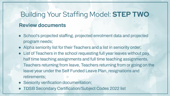# Building Your Staffing Model: **STEP TWO Review documents**

- School's projected staffing, projected enrolment data and projected program needs;
- Alpha seniority list for their Teachers and a list in seniority order;
- List of Teachers in the school requesting full year leaves without pay, half time teaching assignments and full time teaching assignments, Teachers returning from leave, Teachers returning from or going on the leave year under the Self Funded Leave Plan, resignations and retirements;
- Seniority verification documentation;
- TDSB Secondary Certification/Subject Codes 2022 list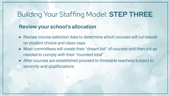### Building Your Staffing Model: **STEP THREE**

#### **Review your school's allocation**

- Review course selection data to determine which courses will run based on student choice and class caps
- Most committees will create their "dream list" of courses and then cut as needed to comply with their "rounded total"
- After courses are established proceed to timetable teachers subject to seniority and qualificiations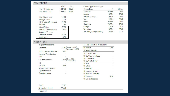#### **PROJECTIONS**

|                               | $ADE$ <sup>**</sup> | Sep   |
|-------------------------------|---------------------|-------|
| <b>Total FTE Enrolment</b>    | 1.367.00            | 1.373 |
| <b>Total Head Count</b>       | 1,369.00            | 1.374 |
| <b>SpEd Adjustments</b>       | 14.00               |       |
| <b>Average Credits</b>        | 7.94                |       |
| <b>ESL Weighted Enrolment</b> | 21.30               |       |
| <b>IOI Rank</b>               | 77                  |       |
| <b>School Divisor</b>         | 27.05               |       |
| Applied: Academic Ratio       | 0.20                |       |
| Number of Courses             | 5                   |       |
| <b>Modified Divisor</b>       | 26.84               |       |
| Supplement                    | 0.51                |       |

**COMPA** 

| Course Type Percentages<br>Course Type | $\%$   | Divisor |
|----------------------------------------|--------|---------|
| Academic                               | 32.53% | 28.50   |
| Applied                                | 0.90%  | 22.00   |
| <b>Locally Developed</b>               | 0.19%  | 13.50   |
| Tech                                   | 4.95%  | 18.50   |
| Open                                   | 26.17% | 24.50   |
| University                             | 24.96% | 29.20   |
| College                                | 1.40%  | 24.70   |
| Workplace                              | 0.05%  | 15.50   |
| University/College (Mixed)             | 8.85%  | 29.20   |

#### **ALLOCATIONS**

| <b>Reqular Allocations</b>        |                                                  | <b>Special Education Allocations</b> |     |
|-----------------------------------|--------------------------------------------------|--------------------------------------|-----|
| Classroom                         | 66.46 Classroom: 65.96;<br>Stu Success Ins: 0.50 | <b>SP Autism</b>                     | 2.0 |
| <b>Student Success, Non-instr</b> | 0.50                                             | SP Autism Central*                   |     |
| Learning Opportunities            |                                                  | SP DD Classroom                      |     |
| LEAP                              |                                                  | SP DD Classroom Prep                 |     |
| Library/Guidancet                 | 5.33 Library: 1.68;                              | SP DD Central*                       |     |
|                                   | Guidance: 3.66                                   | SP DD Central Prep*                  |     |
| ESL.                              |                                                  | SP MID                               |     |
| <b>ESL VISA</b>                   | 0.33                                             | <b>SP Gifted</b>                     |     |
| <b>Allocation Adjustment</b>      |                                                  | <b>SP Hearing</b>                    |     |
| <b>Superior Benefits</b>          |                                                  | <b>SP Learning Disability</b>        |     |
| <b>Other Allocation</b>           |                                                  | <b>SP Physical Disability</b>        |     |
|                                   |                                                  | <b>SP Resource</b>                   | 2.5 |
|                                   |                                                  | <b>SP Other Allocation</b>           |     |
| Total <sup>*</sup>                | 77.12                                            |                                      |     |
| <b>Rounded Total</b>              | 77.00                                            |                                      |     |
| e-Learning*                       |                                                  |                                      |     |
|                                   |                                                  |                                      |     |

| <b>SP Autism</b>              | 2.00 |
|-------------------------------|------|
| SP Autism Central*            |      |
| SP DD Classroom               |      |
| <b>SP DD Classroom Prep</b>   |      |
| SP DD Central*                |      |
| SP DD Central Prep*           |      |
| SP MID                        |      |
| <b>SP Gifted</b>              |      |
| SP Hearing                    |      |
| <b>SP Learning Disability</b> |      |
| <b>SP Physical Disability</b> |      |
| <b>SP Resource</b>            | 2.50 |
| <b>SP Other Allocation</b>    |      |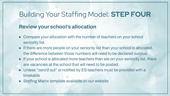# Building Your Staffing Model: **STEP FOUR**

#### **Review your school's allocation**

- Compare your allocation with the number of teachers on your school seniority list.
- If there are more people on your seniority list than your school is allocated, the difference between those numbers will need to be declared surplus.
- If your school is allocated more teachers than are on your seniority list, there are vacancies at the school that will need to be posted.
- Unless "zero'd out" or notified by ES teachers must be provided with a timetable
- Staffing Matrix template available on our website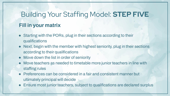# Building Your Staffing Model: **STEP FIVE Fill in your matrix**

- Starting with the PORs, plug in their sections according to their qualifications
- Next, begin with the member with highest seniority, plug in their sections according to their qualifications
- Move down the list in order of seniority
- Move teachers as needed to timetable more junior teachers in line with staffing rules
- Preferences can be considered in a fair and consistent manner but ultimately principal will decide
- Ensure most junior teachers, subject to qualifications are declared surplus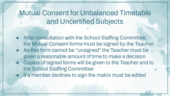# Mutual Consent for Unbalanced Timetable and Uncertified Subjects

- After consultation with the School Staffing Committee, the Mutual Consent forms must be signed by the Teacher
- As this form cannot be "unsigned" the Teacher must be given a reasonable amount of time to make a decision
- Copies of signed forms will be given to the Teacher and to the School Staffing Committee
- If a member declines to sign the matrix must be edited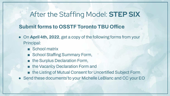# After the Staffing Model: **STEP SIX**

#### **Submit forms to OSSTF Toronto TBU Office**

- On **April 4th, 2022**, get a copy of the following forms from your Principal:
	- School matrix
	- School Staffing Summary Form,
	- the Surplus Declaration Form,
	- the Vacancy Declaration Form and
	- the Listing of Mutual Consent for Uncertified Subject Form
- Send these documents to your Michelle LeBlanc and CC your EO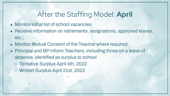## After the Staffing Model: **April**

- Monitor initial list of school vacancies
- Receive information on retirements, resignations, approved leaves, etc.;
- Monitor Mutual Consent of the Teacher where required;
- Principal and BP Inform Teachers, including those on a leave of absence, identified as surplus to school
	- Tentative Surplus April 4th, 2022
	- Written Surplus April 21st, 2022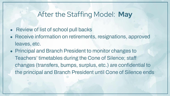# After the Staffing Model: **May**

- Review of list of school pull backs
- Receive information on retirements, resignations, approved leaves, etc.
- Principal and Branch President to monitor changes to Teachers' timetables during the Cone of Silence; staff changes (transfers, bumps, surplus, etc.) are confidential to the principal and Branch President until Cone of Silence ends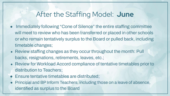### After the Staffing Model: **June**

- Immediately following "Cone of Silence" the entire staffing committee will meet to review who has been transferred or placed in other schools or who remain tentatively surplus to the Board or pulled back, including timetable changes;
- Review staffing changes as they occur throughout the month: Pull backs, resignations, retirements, leaves, etc.;
- Review for Workload Accord compliance of tentative timetables prior to distribution to Teachers;
- Ensure tentative timetables are distributed;
- Principal and BP Inform Teachers, including those on a leave of absence, identified as surplus to the Board